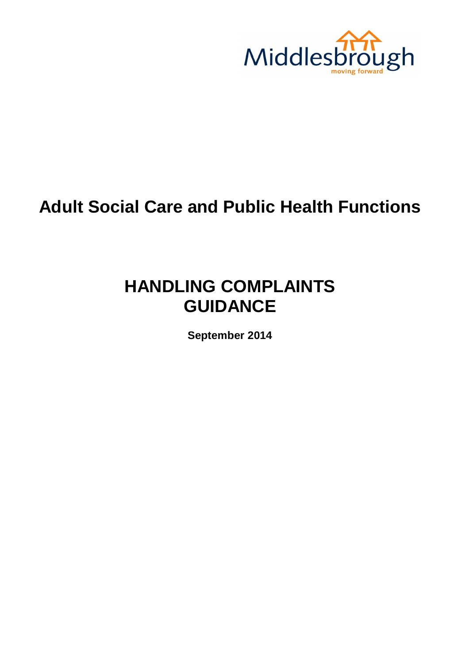

# **Adult Social Care and Public Health Functions**

# **HANDLING COMPLAINTS GUIDANCE**

**September 2014**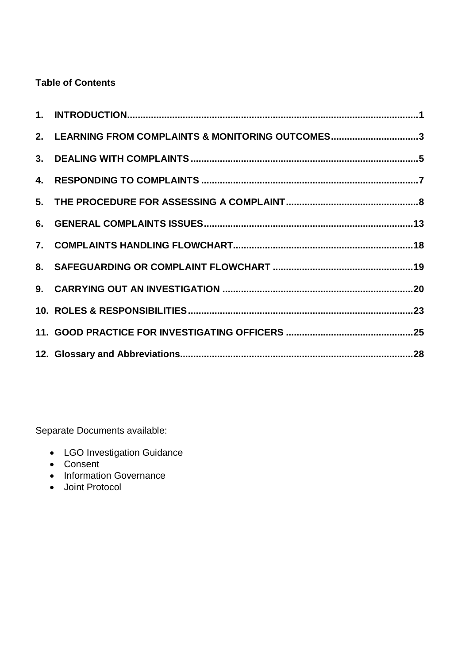# **Table of Contents**

| 2. LEARNING FROM COMPLAINTS & MONITORING OUTCOMES3 |  |
|----------------------------------------------------|--|
|                                                    |  |
|                                                    |  |
|                                                    |  |
|                                                    |  |
|                                                    |  |
|                                                    |  |
|                                                    |  |
|                                                    |  |
|                                                    |  |
|                                                    |  |

Separate Documents available:

- LGO Investigation Guidance
- Consent
- Information Governance
- Joint Protocol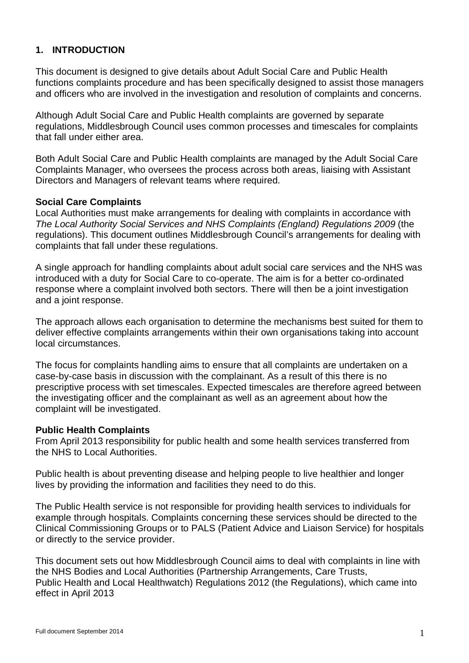## **1. INTRODUCTION**

This document is designed to give details about Adult Social Care and Public Health functions complaints procedure and has been specifically designed to assist those managers and officers who are involved in the investigation and resolution of complaints and concerns.

Although Adult Social Care and Public Health complaints are governed by separate regulations, Middlesbrough Council uses common processes and timescales for complaints that fall under either area.

Both Adult Social Care and Public Health complaints are managed by the Adult Social Care Complaints Manager, who oversees the process across both areas, liaising with Assistant Directors and Managers of relevant teams where required.

#### **Social Care Complaints**

Local Authorities must make arrangements for dealing with complaints in accordance with *The Local Authority Social Services and NHS Complaints (England) Regulations 2009* (the regulations). This document outlines Middlesbrough Council's arrangements for dealing with complaints that fall under these regulations.

A single approach for handling complaints about adult social care services and the NHS was introduced with a duty for Social Care to co-operate. The aim is for a better co-ordinated response where a complaint involved both sectors. There will then be a joint investigation and a joint response.

The approach allows each organisation to determine the mechanisms best suited for them to deliver effective complaints arrangements within their own organisations taking into account local circumstances.

The focus for complaints handling aims to ensure that all complaints are undertaken on a case-by-case basis in discussion with the complainant. As a result of this there is no prescriptive process with set timescales. Expected timescales are therefore agreed between the investigating officer and the complainant as well as an agreement about how the complaint will be investigated.

#### **Public Health Complaints**

From April 2013 responsibility for public health and some health services transferred from the NHS to Local Authorities.

Public health is about preventing disease and helping people to live healthier and longer lives by providing the information and facilities they need to do this.

The Public Health service is not responsible for providing health services to individuals for example through hospitals. Complaints concerning these services should be directed to the Clinical Commissioning Groups or to PALS (Patient Advice and Liaison Service) for hospitals or directly to the service provider.

This document sets out how Middlesbrough Council aims to deal with complaints in line with the NHS Bodies and Local Authorities (Partnership Arrangements, Care Trusts, Public Health and Local Healthwatch) Regulations 2012 (the Regulations), which came into effect in April 2013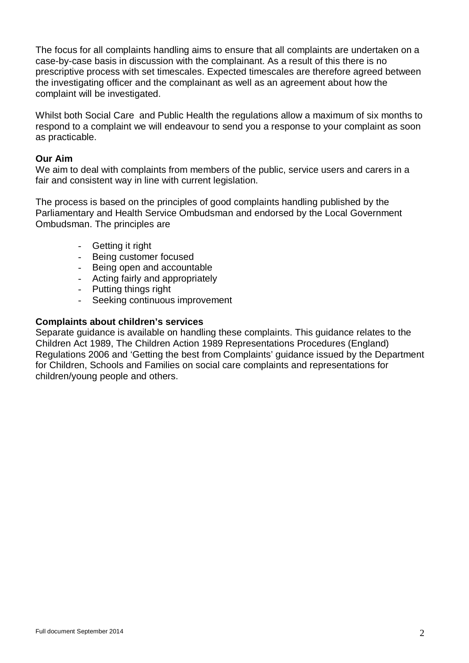The focus for all complaints handling aims to ensure that all complaints are undertaken on a case-by-case basis in discussion with the complainant. As a result of this there is no prescriptive process with set timescales. Expected timescales are therefore agreed between the investigating officer and the complainant as well as an agreement about how the complaint will be investigated.

Whilst both Social Care and Public Health the regulations allow a maximum of six months to respond to a complaint we will endeavour to send you a response to your complaint as soon as practicable.

#### **Our Aim**

We aim to deal with complaints from members of the public, service users and carers in a fair and consistent way in line with current legislation.

The process is based on the principles of good complaints handling published by the Parliamentary and Health Service Ombudsman and endorsed by the Local Government Ombudsman. The principles are

- Getting it right
- Being customer focused
- Being open and accountable
- Acting fairly and appropriately
- Putting things right
- Seeking continuous improvement

#### **Complaints about children's services**

Separate guidance is available on handling these complaints. This guidance relates to the Children Act 1989, The Children Action 1989 Representations Procedures (England) Regulations 2006 and 'Getting the best from Complaints' guidance issued by the Department for Children, Schools and Families on social care complaints and representations for children/young people and others.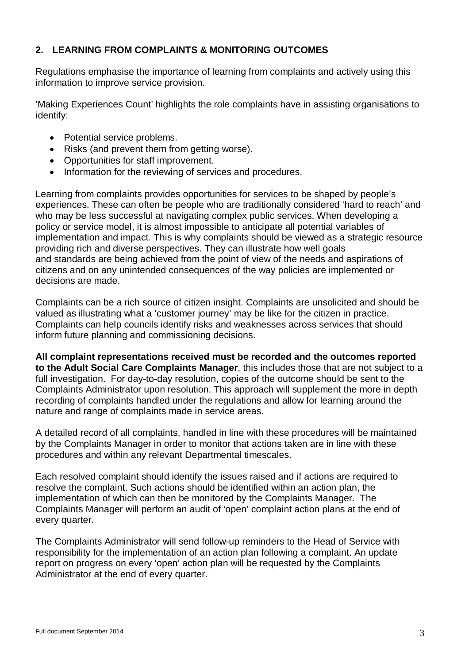# **2. LEARNING FROM COMPLAINTS & MONITORING OUTCOMES**

Regulations emphasise the importance of learning from complaints and actively using this information to improve service provision.

'Making Experiences Count' highlights the role complaints have in assisting organisations to identify:

- Potential service problems.
- Risks (and prevent them from getting worse).
- Opportunities for staff improvement.
- Information for the reviewing of services and procedures.

Learning from complaints provides opportunities for services to be shaped by people's experiences. These can often be people who are traditionally considered 'hard to reach' and who may be less successful at navigating complex public services. When developing a policy or service model, it is almost impossible to anticipate all potential variables of implementation and impact. This is why complaints should be viewed as a strategic resource providing rich and diverse perspectives. They can illustrate how well goals and standards are being achieved from the point of view of the needs and aspirations of citizens and on any unintended consequences of the way policies are implemented or decisions are made.

Complaints can be a rich source of citizen insight. Complaints are unsolicited and should be valued as illustrating what a 'customer journey' may be like for the citizen in practice. Complaints can help councils identify risks and weaknesses across services that should inform future planning and commissioning decisions.

**All complaint representations received must be recorded and the outcomes reported to the Adult Social Care Complaints Manager**, this includes those that are not subject to a full investigation. For day-to-day resolution, copies of the outcome should be sent to the Complaints Administrator upon resolution. This approach will supplement the more in depth recording of complaints handled under the regulations and allow for learning around the nature and range of complaints made in service areas.

A detailed record of all complaints, handled in line with these procedures will be maintained by the Complaints Manager in order to monitor that actions taken are in line with these procedures and within any relevant Departmental timescales.

Each resolved complaint should identify the issues raised and if actions are required to resolve the complaint. Such actions should be identified within an action plan, the implementation of which can then be monitored by the Complaints Manager. The Complaints Manager will perform an audit of 'open' complaint action plans at the end of every quarter.

The Complaints Administrator will send follow-up reminders to the Head of Service with responsibility for the implementation of an action plan following a complaint. An update report on progress on every 'open' action plan will be requested by the Complaints Administrator at the end of every quarter.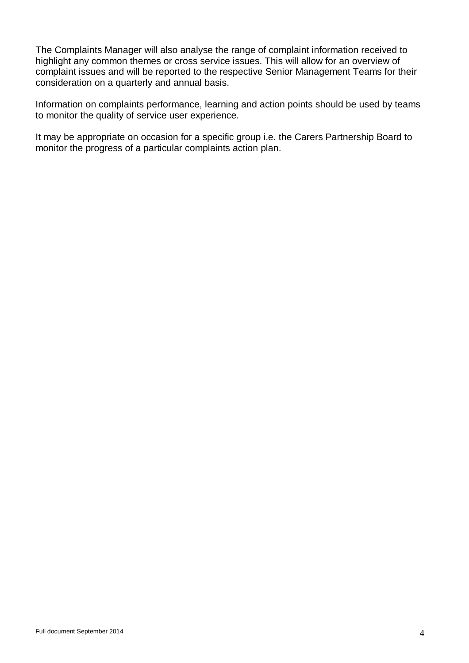The Complaints Manager will also analyse the range of complaint information received to highlight any common themes or cross service issues. This will allow for an overview of complaint issues and will be reported to the respective Senior Management Teams for their consideration on a quarterly and annual basis.

Information on complaints performance, learning and action points should be used by teams to monitor the quality of service user experience.

It may be appropriate on occasion for a specific group i.e. the Carers Partnership Board to monitor the progress of a particular complaints action plan.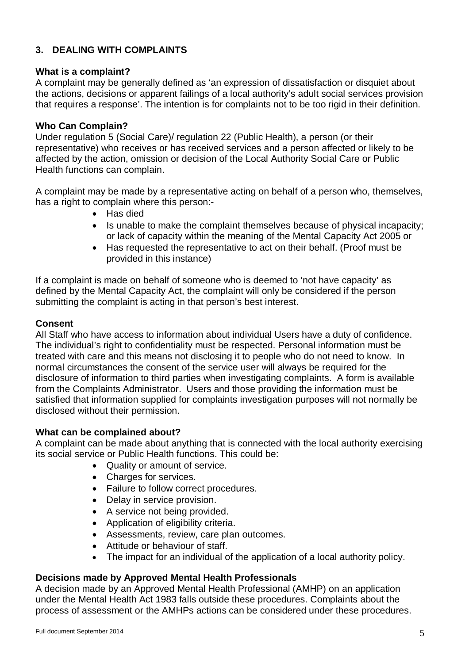# **3. DEALING WITH COMPLAINTS**

### **What is a complaint?**

A complaint may be generally defined as 'an expression of dissatisfaction or disquiet about the actions, decisions or apparent failings of a local authority's adult social services provision that requires a response'. The intention is for complaints not to be too rigid in their definition.

## **Who Can Complain?**

Under regulation 5 (Social Care)/ regulation 22 (Public Health), a person (or their representative) who receives or has received services and a person affected or likely to be affected by the action, omission or decision of the Local Authority Social Care or Public Health functions can complain.

A complaint may be made by a representative acting on behalf of a person who, themselves, has a right to complain where this person:-

- Has died
- Is unable to make the complaint themselves because of physical incapacity; or lack of capacity within the meaning of the Mental Capacity Act 2005 or
- Has requested the representative to act on their behalf. (Proof must be provided in this instance)

If a complaint is made on behalf of someone who is deemed to 'not have capacity' as defined by the Mental Capacity Act, the complaint will only be considered if the person submitting the complaint is acting in that person's best interest.

## **Consent**

All Staff who have access to information about individual Users have a duty of confidence. The individual's right to confidentiality must be respected. Personal information must be treated with care and this means not disclosing it to people who do not need to know. In normal circumstances the consent of the service user will always be required for the disclosure of information to third parties when investigating complaints. A form is available from the Complaints Administrator. Users and those providing the information must be satisfied that information supplied for complaints investigation purposes will not normally be disclosed without their permission.

#### **What can be complained about?**

A complaint can be made about anything that is connected with the local authority exercising its social service or Public Health functions. This could be:

- Quality or amount of service.
- Charges for services.
- Failure to follow correct procedures.
- Delay in service provision.
- A service not being provided.
- Application of eligibility criteria.
- Assessments, review, care plan outcomes.
- Attitude or behaviour of staff.
- The impact for an individual of the application of a local authority policy.

#### **Decisions made by Approved Mental Health Professionals**

A decision made by an Approved Mental Health Professional (AMHP) on an application under the Mental Health Act 1983 falls outside these procedures. Complaints about the process of assessment or the AMHPs actions can be considered under these procedures.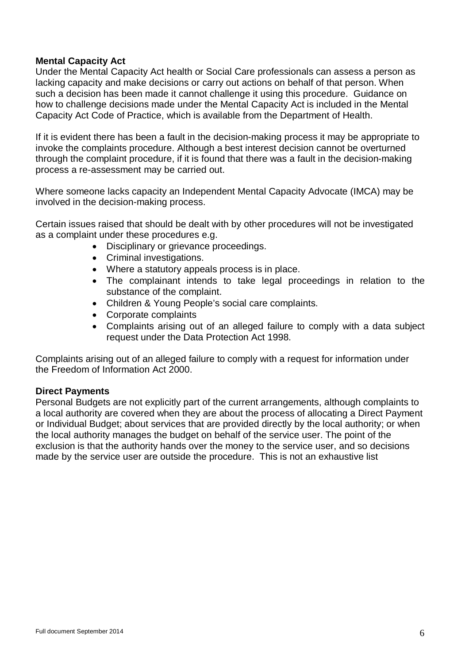## **Mental Capacity Act**

Under the Mental Capacity Act health or Social Care professionals can assess a person as lacking capacity and make decisions or carry out actions on behalf of that person. When such a decision has been made it cannot challenge it using this procedure. Guidance on how to challenge decisions made under the Mental Capacity Act is included in the Mental Capacity Act Code of Practice, which is available from the Department of Health.

If it is evident there has been a fault in the decision-making process it may be appropriate to invoke the complaints procedure. Although a best interest decision cannot be overturned through the complaint procedure, if it is found that there was a fault in the decision-making process a re-assessment may be carried out.

Where someone lacks capacity an Independent Mental Capacity Advocate (IMCA) may be involved in the decision-making process.

Certain issues raised that should be dealt with by other procedures will not be investigated as a complaint under these procedures e.g.

- Disciplinary or grievance proceedings.
- Criminal investigations.
- Where a statutory appeals process is in place.
- The complainant intends to take legal proceedings in relation to the substance of the complaint.
- Children & Young People's social care complaints.
- Corporate complaints
- Complaints arising out of an alleged failure to comply with a data subject request under the Data Protection Act 1998.

Complaints arising out of an alleged failure to comply with a request for information under the Freedom of Information Act 2000.

#### **Direct Payments**

Personal Budgets are not explicitly part of the current arrangements, although complaints to a local authority are covered when they are about the process of allocating a Direct Payment or Individual Budget; about services that are provided directly by the local authority; or when the local authority manages the budget on behalf of the service user. The point of the exclusion is that the authority hands over the money to the service user, and so decisions made by the service user are outside the procedure. This is not an exhaustive list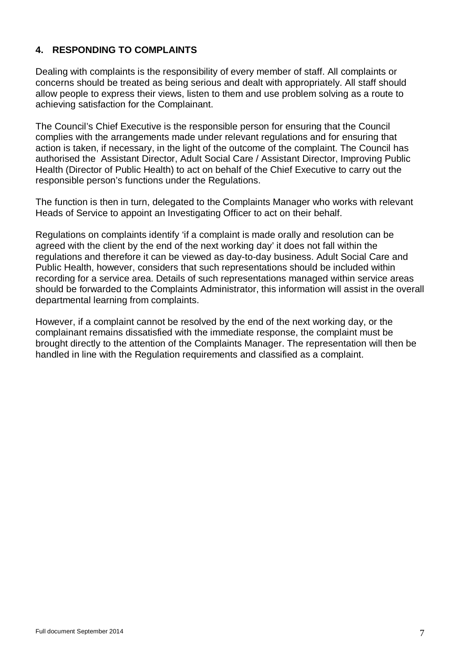# **4. RESPONDING TO COMPLAINTS**

Dealing with complaints is the responsibility of every member of staff. All complaints or concerns should be treated as being serious and dealt with appropriately. All staff should allow people to express their views, listen to them and use problem solving as a route to achieving satisfaction for the Complainant.

The Council's Chief Executive is the responsible person for ensuring that the Council complies with the arrangements made under relevant regulations and for ensuring that action is taken, if necessary, in the light of the outcome of the complaint. The Council has authorised the Assistant Director, Adult Social Care / Assistant Director, Improving Public Health (Director of Public Health) to act on behalf of the Chief Executive to carry out the responsible person's functions under the Regulations.

The function is then in turn, delegated to the Complaints Manager who works with relevant Heads of Service to appoint an Investigating Officer to act on their behalf.

Regulations on complaints identify 'if a complaint is made orally and resolution can be agreed with the client by the end of the next working day' it does not fall within the regulations and therefore it can be viewed as day-to-day business. Adult Social Care and Public Health, however, considers that such representations should be included within recording for a service area. Details of such representations managed within service areas should be forwarded to the Complaints Administrator, this information will assist in the overall departmental learning from complaints.

However, if a complaint cannot be resolved by the end of the next working day, or the complainant remains dissatisfied with the immediate response, the complaint must be brought directly to the attention of the Complaints Manager. The representation will then be handled in line with the Regulation requirements and classified as a complaint.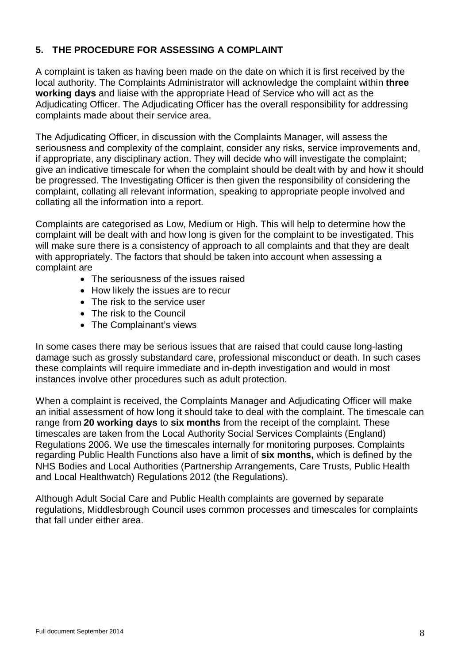# **5. THE PROCEDURE FOR ASSESSING A COMPLAINT**

A complaint is taken as having been made on the date on which it is first received by the local authority. The Complaints Administrator will acknowledge the complaint within **three working days** and liaise with the appropriate Head of Service who will act as the Adjudicating Officer. The Adjudicating Officer has the overall responsibility for addressing complaints made about their service area.

The Adjudicating Officer, in discussion with the Complaints Manager, will assess the seriousness and complexity of the complaint, consider any risks, service improvements and, if appropriate, any disciplinary action. They will decide who will investigate the complaint; give an indicative timescale for when the complaint should be dealt with by and how it should be progressed. The Investigating Officer is then given the responsibility of considering the complaint, collating all relevant information, speaking to appropriate people involved and collating all the information into a report.

Complaints are categorised as Low, Medium or High. This will help to determine how the complaint will be dealt with and how long is given for the complaint to be investigated. This will make sure there is a consistency of approach to all complaints and that they are dealt with appropriately. The factors that should be taken into account when assessing a complaint are

- The seriousness of the issues raised
- How likely the issues are to recur
- The risk to the service user
- The risk to the Council
- The Complainant's views

In some cases there may be serious issues that are raised that could cause long-lasting damage such as grossly substandard care, professional misconduct or death. In such cases these complaints will require immediate and in-depth investigation and would in most instances involve other procedures such as adult protection.

When a complaint is received, the Complaints Manager and Adjudicating Officer will make an initial assessment of how long it should take to deal with the complaint. The timescale can range from **20 working days** to **six months** from the receipt of the complaint. These timescales are taken from the Local Authority Social Services Complaints (England) Regulations 2006. We use the timescales internally for monitoring purposes. Complaints regarding Public Health Functions also have a limit of **six months,** which is defined by the NHS Bodies and Local Authorities (Partnership Arrangements, Care Trusts, Public Health and Local Healthwatch) Regulations 2012 (the Regulations).

Although Adult Social Care and Public Health complaints are governed by separate regulations, Middlesbrough Council uses common processes and timescales for complaints that fall under either area.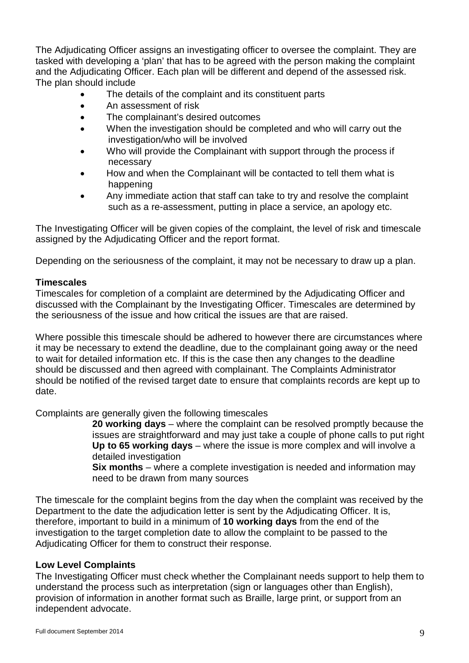The Adjudicating Officer assigns an investigating officer to oversee the complaint. They are tasked with developing a 'plan' that has to be agreed with the person making the complaint and the Adjudicating Officer. Each plan will be different and depend of the assessed risk. The plan should include

- The details of the complaint and its constituent parts
- An assessment of risk
- The complainant's desired outcomes
- When the investigation should be completed and who will carry out the investigation/who will be involved
- Who will provide the Complainant with support through the process if necessary
- How and when the Complainant will be contacted to tell them what is happening
- Any immediate action that staff can take to try and resolve the complaint such as a re-assessment, putting in place a service, an apology etc.

The Investigating Officer will be given copies of the complaint, the level of risk and timescale assigned by the Adjudicating Officer and the report format.

Depending on the seriousness of the complaint, it may not be necessary to draw up a plan.

## **Timescales**

Timescales for completion of a complaint are determined by the Adjudicating Officer and discussed with the Complainant by the Investigating Officer. Timescales are determined by the seriousness of the issue and how critical the issues are that are raised.

Where possible this timescale should be adhered to however there are circumstances where it may be necessary to extend the deadline, due to the complainant going away or the need to wait for detailed information etc. If this is the case then any changes to the deadline should be discussed and then agreed with complainant. The Complaints Administrator should be notified of the revised target date to ensure that complaints records are kept up to date.

Complaints are generally given the following timescales

**20 working days** – where the complaint can be resolved promptly because the issues are straightforward and may just take a couple of phone calls to put right **Up to 65 working days** – where the issue is more complex and will involve a detailed investigation

**Six months** – where a complete investigation is needed and information may need to be drawn from many sources

The timescale for the complaint begins from the day when the complaint was received by the Department to the date the adjudication letter is sent by the Adjudicating Officer. It is, therefore, important to build in a minimum of **10 working days** from the end of the investigation to the target completion date to allow the complaint to be passed to the Adjudicating Officer for them to construct their response.

# **Low Level Complaints**

The Investigating Officer must check whether the Complainant needs support to help them to understand the process such as interpretation (sign or languages other than English), provision of information in another format such as Braille, large print, or support from an independent advocate.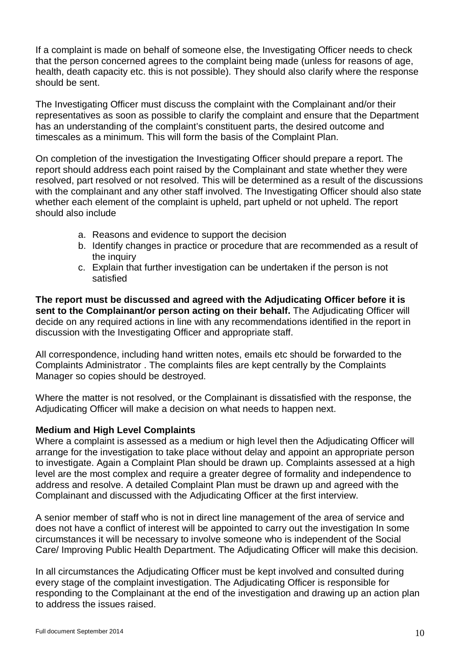If a complaint is made on behalf of someone else, the Investigating Officer needs to check that the person concerned agrees to the complaint being made (unless for reasons of age, health, death capacity etc. this is not possible). They should also clarify where the response should be sent.

The Investigating Officer must discuss the complaint with the Complainant and/or their representatives as soon as possible to clarify the complaint and ensure that the Department has an understanding of the complaint's constituent parts, the desired outcome and timescales as a minimum. This will form the basis of the Complaint Plan.

On completion of the investigation the Investigating Officer should prepare a report. The report should address each point raised by the Complainant and state whether they were resolved, part resolved or not resolved. This will be determined as a result of the discussions with the complainant and any other staff involved. The Investigating Officer should also state whether each element of the complaint is upheld, part upheld or not upheld. The report should also include

- a. Reasons and evidence to support the decision
- b. Identify changes in practice or procedure that are recommended as a result of the inquiry
- c. Explain that further investigation can be undertaken if the person is not satisfied

**The report must be discussed and agreed with the Adjudicating Officer before it is sent to the Complainant/or person acting on their behalf.** The Adjudicating Officer will decide on any required actions in line with any recommendations identified in the report in discussion with the Investigating Officer and appropriate staff.

All correspondence, including hand written notes, emails etc should be forwarded to the Complaints Administrator . The complaints files are kept centrally by the Complaints Manager so copies should be destroyed.

Where the matter is not resolved, or the Complainant is dissatisfied with the response, the Adjudicating Officer will make a decision on what needs to happen next.

#### **Medium and High Level Complaints**

Where a complaint is assessed as a medium or high level then the Adjudicating Officer will arrange for the investigation to take place without delay and appoint an appropriate person to investigate. Again a Complaint Plan should be drawn up. Complaints assessed at a high level are the most complex and require a greater degree of formality and independence to address and resolve. A detailed Complaint Plan must be drawn up and agreed with the Complainant and discussed with the Adjudicating Officer at the first interview.

A senior member of staff who is not in direct line management of the area of service and does not have a conflict of interest will be appointed to carry out the investigation In some circumstances it will be necessary to involve someone who is independent of the Social Care/ Improving Public Health Department. The Adjudicating Officer will make this decision.

In all circumstances the Adjudicating Officer must be kept involved and consulted during every stage of the complaint investigation. The Adjudicating Officer is responsible for responding to the Complainant at the end of the investigation and drawing up an action plan to address the issues raised.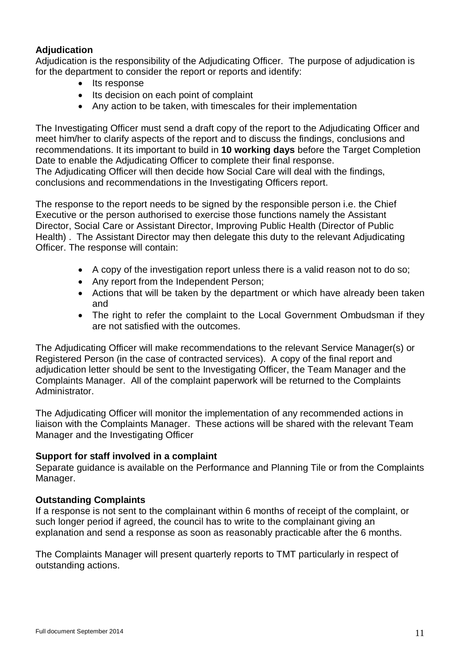# **Adjudication**

Adjudication is the responsibility of the Adjudicating Officer. The purpose of adjudication is for the department to consider the report or reports and identify:

- Its response
- Its decision on each point of complaint
- Any action to be taken, with timescales for their implementation

The Investigating Officer must send a draft copy of the report to the Adjudicating Officer and meet him/her to clarify aspects of the report and to discuss the findings, conclusions and recommendations. It its important to build in **10 working days** before the Target Completion Date to enable the Adjudicating Officer to complete their final response. The Adjudicating Officer will then decide how Social Care will deal with the findings,

conclusions and recommendations in the Investigating Officers report.

The response to the report needs to be signed by the responsible person i.e. the Chief Executive or the person authorised to exercise those functions namely the Assistant Director, Social Care or Assistant Director, Improving Public Health (Director of Public Health) . The Assistant Director may then delegate this duty to the relevant Adjudicating Officer. The response will contain:

- A copy of the investigation report unless there is a valid reason not to do so;
- Any report from the Independent Person;
- Actions that will be taken by the department or which have already been taken and
- The right to refer the complaint to the Local Government Ombudsman if they are not satisfied with the outcomes.

The Adjudicating Officer will make recommendations to the relevant Service Manager(s) or Registered Person (in the case of contracted services). A copy of the final report and adjudication letter should be sent to the Investigating Officer, the Team Manager and the Complaints Manager. All of the complaint paperwork will be returned to the Complaints Administrator.

The Adjudicating Officer will monitor the implementation of any recommended actions in liaison with the Complaints Manager. These actions will be shared with the relevant Team Manager and the Investigating Officer

#### **Support for staff involved in a complaint**

Separate guidance is available on the Performance and Planning Tile or from the Complaints Manager.

#### **Outstanding Complaints**

If a response is not sent to the complainant within 6 months of receipt of the complaint, or such longer period if agreed, the council has to write to the complainant giving an explanation and send a response as soon as reasonably practicable after the 6 months.

The Complaints Manager will present quarterly reports to TMT particularly in respect of outstanding actions.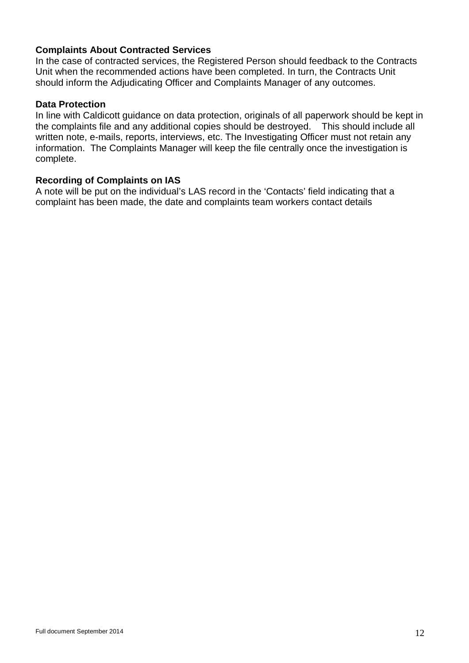## **Complaints About Contracted Services**

In the case of contracted services, the Registered Person should feedback to the Contracts Unit when the recommended actions have been completed. In turn, the Contracts Unit should inform the Adjudicating Officer and Complaints Manager of any outcomes.

#### **Data Protection**

In line with Caldicott guidance on data protection, originals of all paperwork should be kept in the complaints file and any additional copies should be destroyed. This should include all written note, e-mails, reports, interviews, etc. The Investigating Officer must not retain any information. The Complaints Manager will keep the file centrally once the investigation is complete.

#### **Recording of Complaints on IAS**

A note will be put on the individual's LAS record in the 'Contacts' field indicating that a complaint has been made, the date and complaints team workers contact details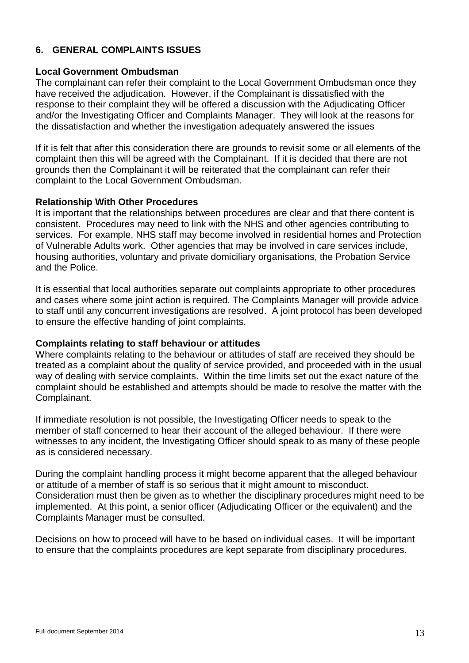# **6. GENERAL COMPLAINTS ISSUES**

#### **Local Government Ombudsman**

The complainant can refer their complaint to the Local Government Ombudsman once they have received the adjudication. However, if the Complainant is dissatisfied with the response to their complaint they will be offered a discussion with the Adjudicating Officer and/or the Investigating Officer and Complaints Manager. They will look at the reasons for the dissatisfaction and whether the investigation adequately answered the issues

If it is felt that after this consideration there are grounds to revisit some or all elements of the complaint then this will be agreed with the Complainant. If it is decided that there are not grounds then the Complainant it will be reiterated that the complainant can refer their complaint to the Local Government Ombudsman.

#### **Relationship With Other Procedures**

It is important that the relationships between procedures are clear and that there content is consistent. Procedures may need to link with the NHS and other agencies contributing to services. For example, NHS staff may become involved in residential homes and Protection of Vulnerable Adults work. Other agencies that may be involved in care services include, housing authorities, voluntary and private domiciliary organisations, the Probation Service and the Police.

It is essential that local authorities separate out complaints appropriate to other procedures and cases where some joint action is required. The Complaints Manager will provide advice to staff until any concurrent investigations are resolved. A joint protocol has been developed to ensure the effective handing of joint complaints.

#### **Complaints relating to staff behaviour or attitudes**

Where complaints relating to the behaviour or attitudes of staff are received they should be treated as a complaint about the quality of service provided, and proceeded with in the usual way of dealing with service complaints. Within the time limits set out the exact nature of the complaint should be established and attempts should be made to resolve the matter with the Complainant.

If immediate resolution is not possible, the Investigating Officer needs to speak to the member of staff concerned to hear their account of the alleged behaviour. If there were witnesses to any incident, the Investigating Officer should speak to as many of these people as is considered necessary.

During the complaint handling process it might become apparent that the alleged behaviour or attitude of a member of staff is so serious that it might amount to misconduct. Consideration must then be given as to whether the disciplinary procedures might need to be implemented. At this point, a senior officer (Adjudicating Officer or the equivalent) and the Complaints Manager must be consulted.

Decisions on how to proceed will have to be based on individual cases. It will be important to ensure that the complaints procedures are kept separate from disciplinary procedures.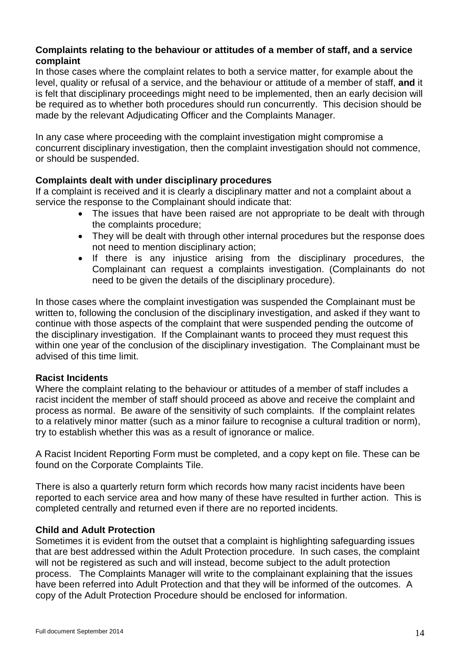## **Complaints relating to the behaviour or attitudes of a member of staff, and a service complaint**

In those cases where the complaint relates to both a service matter, for example about the level, quality or refusal of a service, and the behaviour or attitude of a member of staff, **and** it is felt that disciplinary proceedings might need to be implemented, then an early decision will be required as to whether both procedures should run concurrently. This decision should be made by the relevant Adjudicating Officer and the Complaints Manager.

In any case where proceeding with the complaint investigation might compromise a concurrent disciplinary investigation, then the complaint investigation should not commence, or should be suspended.

#### **Complaints dealt with under disciplinary procedures**

If a complaint is received and it is clearly a disciplinary matter and not a complaint about a service the response to the Complainant should indicate that:

- The issues that have been raised are not appropriate to be dealt with through the complaints procedure;
- They will be dealt with through other internal procedures but the response does not need to mention disciplinary action;
- If there is any injustice arising from the disciplinary procedures, the Complainant can request a complaints investigation. (Complainants do not need to be given the details of the disciplinary procedure).

In those cases where the complaint investigation was suspended the Complainant must be written to, following the conclusion of the disciplinary investigation, and asked if they want to continue with those aspects of the complaint that were suspended pending the outcome of the disciplinary investigation. If the Complainant wants to proceed they must request this within one year of the conclusion of the disciplinary investigation. The Complainant must be advised of this time limit.

#### **Racist Incidents**

Where the complaint relating to the behaviour or attitudes of a member of staff includes a racist incident the member of staff should proceed as above and receive the complaint and process as normal. Be aware of the sensitivity of such complaints. If the complaint relates to a relatively minor matter (such as a minor failure to recognise a cultural tradition or norm). try to establish whether this was as a result of ignorance or malice.

A Racist Incident Reporting Form must be completed, and a copy kept on file. These can be found on the Corporate Complaints Tile.

There is also a quarterly return form which records how many racist incidents have been reported to each service area and how many of these have resulted in further action. This is completed centrally and returned even if there are no reported incidents.

#### **Child and Adult Protection**

Sometimes it is evident from the outset that a complaint is highlighting safeguarding issues that are best addressed within the Adult Protection procedure. In such cases, the complaint will not be registered as such and will instead, become subject to the adult protection process. The Complaints Manager will write to the complainant explaining that the issues have been referred into Adult Protection and that they will be informed of the outcomes. A copy of the Adult Protection Procedure should be enclosed for information.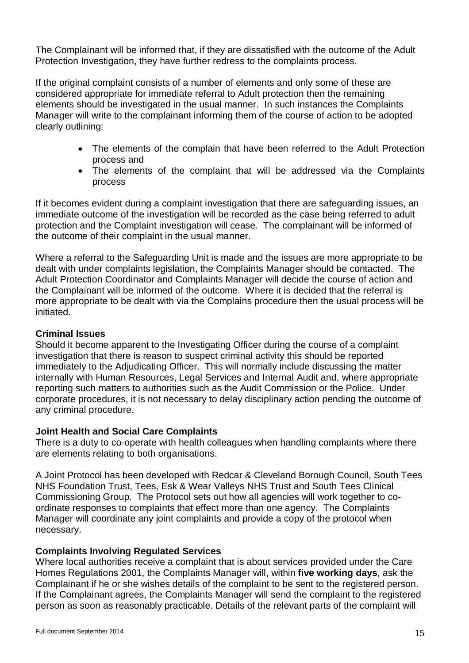The Complainant will be informed that, if they are dissatisfied with the outcome of the Adult Protection Investigation, they have further redress to the complaints process.

If the original complaint consists of a number of elements and only some of these are considered appropriate for immediate referral to Adult protection then the remaining elements should be investigated in the usual manner. In such instances the Complaints Manager will write to the complainant informing them of the course of action to be adopted clearly outlining:

- The elements of the complain that have been referred to the Adult Protection process and
- The elements of the complaint that will be addressed via the Complaints process

If it becomes evident during a complaint investigation that there are safeguarding issues, an immediate outcome of the investigation will be recorded as the case being referred to adult protection and the Complaint investigation will cease. The complainant will be informed of the outcome of their complaint in the usual manner.

Where a referral to the Safeguarding Unit is made and the issues are more appropriate to be dealt with under complaints legislation, the Complaints Manager should be contacted. The Adult Protection Coordinator and Complaints Manager will decide the course of action and the Complainant will be informed of the outcome. Where it is decided that the referral is more appropriate to be dealt with via the Complains procedure then the usual process will be initiated.

## **Criminal Issues**

Should it become apparent to the Investigating Officer during the course of a complaint investigation that there is reason to suspect criminal activity this should be reported immediately to the Adjudicating Officer. This will normally include discussing the matter internally with Human Resources, Legal Services and Internal Audit and, where appropriate reporting such matters to authorities such as the Audit Commission or the Police. Under corporate procedures, it is not necessary to delay disciplinary action pending the outcome of any criminal procedure.

#### **Joint Health and Social Care Complaints**

There is a duty to co-operate with health colleagues when handling complaints where there are elements relating to both organisations.

A Joint Protocol has been developed with Redcar & Cleveland Borough Council, South Tees NHS Foundation Trust, Tees, Esk & Wear Valleys NHS Trust and South Tees Clinical Commissioning Group. The Protocol sets out how all agencies will work together to coordinate responses to complaints that effect more than one agency. The Complaints Manager will coordinate any joint complaints and provide a copy of the protocol when necessary.

# **Complaints Involving Regulated Services**

Where local authorities receive a complaint that is about services provided under the Care Homes Regulations 2001, the Complaints Manager will, within **five working days**, ask the Complainant if he or she wishes details of the complaint to be sent to the registered person. If the Complainant agrees, the Complaints Manager will send the complaint to the registered person as soon as reasonably practicable. Details of the relevant parts of the complaint will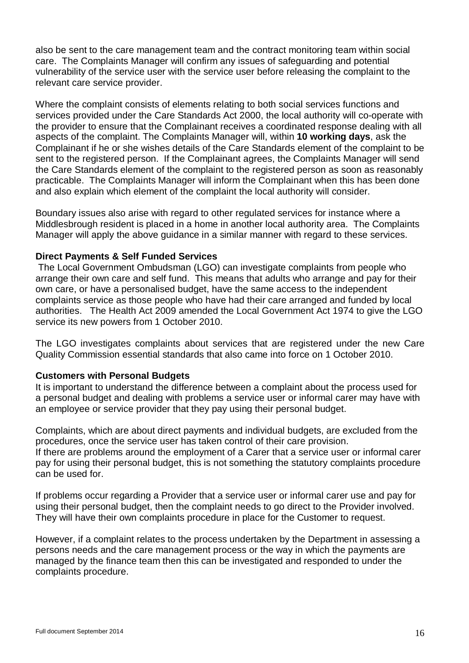also be sent to the care management team and the contract monitoring team within social care. The Complaints Manager will confirm any issues of safeguarding and potential vulnerability of the service user with the service user before releasing the complaint to the relevant care service provider.

Where the complaint consists of elements relating to both social services functions and services provided under the Care Standards Act 2000, the local authority will co-operate with the provider to ensure that the Complainant receives a coordinated response dealing with all aspects of the complaint. The Complaints Manager will, within **10 working days**, ask the Complainant if he or she wishes details of the Care Standards element of the complaint to be sent to the registered person. If the Complainant agrees, the Complaints Manager will send the Care Standards element of the complaint to the registered person as soon as reasonably practicable. The Complaints Manager will inform the Complainant when this has been done and also explain which element of the complaint the local authority will consider.

Boundary issues also arise with regard to other regulated services for instance where a Middlesbrough resident is placed in a home in another local authority area. The Complaints Manager will apply the above guidance in a similar manner with regard to these services.

#### **Direct Payments & Self Funded Services**

The Local Government Ombudsman (LGO) can investigate complaints from people who arrange their own care and self fund. This means that adults who arrange and pay for their own care, or have a personalised budget, have the same access to the independent complaints service as those people who have had their care arranged and funded by local authorities. The Health Act 2009 amended the Local Government Act 1974 to give the LGO service its new powers from 1 October 2010.

The LGO investigates complaints about services that are registered under the new Care Quality Commission essential standards that also came into force on 1 October 2010.

#### **Customers with Personal Budgets**

It is important to understand the difference between a complaint about the process used for a personal budget and dealing with problems a service user or informal carer may have with an employee or service provider that they pay using their personal budget.

Complaints, which are about direct payments and individual budgets, are excluded from the procedures, once the service user has taken control of their care provision. If there are problems around the employment of a Carer that a service user or informal carer pay for using their personal budget, this is not something the statutory complaints procedure can be used for.

If problems occur regarding a Provider that a service user or informal carer use and pay for using their personal budget, then the complaint needs to go direct to the Provider involved. They will have their own complaints procedure in place for the Customer to request.

However, if a complaint relates to the process undertaken by the Department in assessing a persons needs and the care management process or the way in which the payments are managed by the finance team then this can be investigated and responded to under the complaints procedure.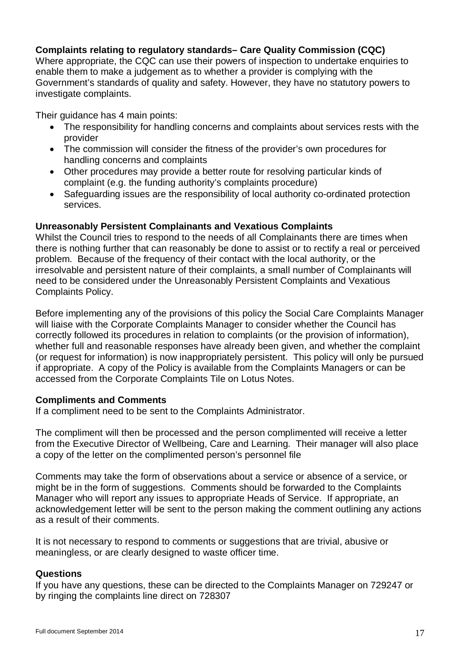# **Complaints relating to regulatory standards– Care Quality Commission (CQC)**

Where appropriate, the CQC can use their powers of inspection to undertake enquiries to enable them to make a judgement as to whether a provider is complying with the Government's standards of quality and safety. However, they have no statutory powers to investigate complaints.

Their guidance has 4 main points:

- The responsibility for handling concerns and complaints about services rests with the provider
- The commission will consider the fitness of the provider's own procedures for handling concerns and complaints
- Other procedures may provide a better route for resolving particular kinds of complaint (e.g. the funding authority's complaints procedure)
- Safeguarding issues are the responsibility of local authority co-ordinated protection services.

#### **Unreasonably Persistent Complainants and Vexatious Complaints**

Whilst the Council tries to respond to the needs of all Complainants there are times when there is nothing further that can reasonably be done to assist or to rectify a real or perceived problem. Because of the frequency of their contact with the local authority, or the irresolvable and persistent nature of their complaints, a small number of Complainants will need to be considered under the Unreasonably Persistent Complaints and Vexatious Complaints Policy.

Before implementing any of the provisions of this policy the Social Care Complaints Manager will liaise with the Corporate Complaints Manager to consider whether the Council has correctly followed its procedures in relation to complaints (or the provision of information), whether full and reasonable responses have already been given, and whether the complaint (or request for information) is now inappropriately persistent. This policy will only be pursued if appropriate. A copy of the Policy is available from the Complaints Managers or can be accessed from the Corporate Complaints Tile on Lotus Notes.

#### **Compliments and Comments**

If a compliment need to be sent to the Complaints Administrator.

The compliment will then be processed and the person complimented will receive a letter from the Executive Director of Wellbeing, Care and Learning. Their manager will also place a copy of the letter on the complimented person's personnel file

Comments may take the form of observations about a service or absence of a service, or might be in the form of suggestions. Comments should be forwarded to the Complaints Manager who will report any issues to appropriate Heads of Service. If appropriate, an acknowledgement letter will be sent to the person making the comment outlining any actions as a result of their comments.

It is not necessary to respond to comments or suggestions that are trivial, abusive or meaningless, or are clearly designed to waste officer time.

#### **Questions**

If you have any questions, these can be directed to the Complaints Manager on 729247 or by ringing the complaints line direct on 728307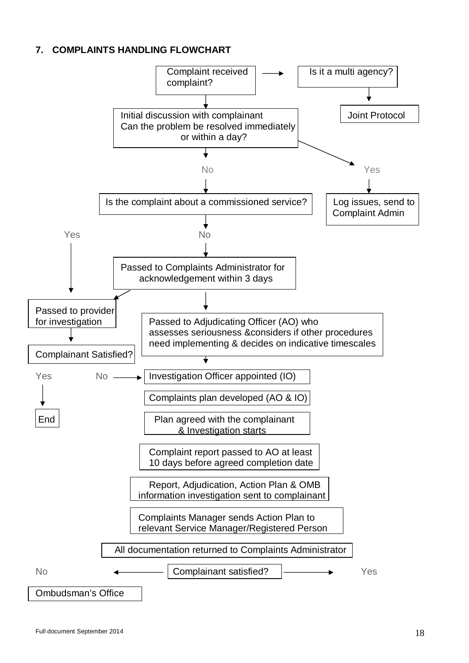# **7. COMPLAINTS HANDLING FLOWCHART**

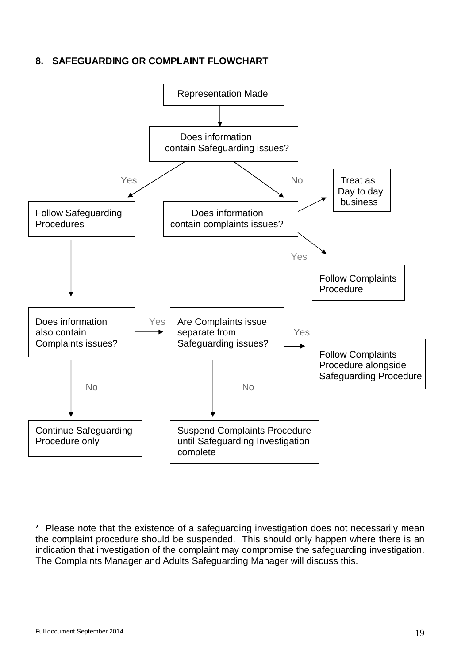# **8. SAFEGUARDING OR COMPLAINT FLOWCHART**



\* Please note that the existence of a safeguarding investigation does not necessarily mean the complaint procedure should be suspended. This should only happen where there is an indication that investigation of the complaint may compromise the safeguarding investigation. The Complaints Manager and Adults Safeguarding Manager will discuss this.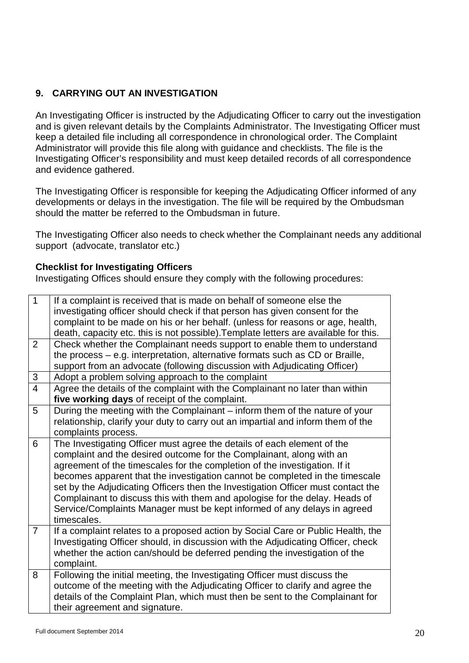# **9. CARRYING OUT AN INVESTIGATION**

An Investigating Officer is instructed by the Adjudicating Officer to carry out the investigation and is given relevant details by the Complaints Administrator. The Investigating Officer must keep a detailed file including all correspondence in chronological order. The Complaint Administrator will provide this file along with guidance and checklists. The file is the Investigating Officer's responsibility and must keep detailed records of all correspondence and evidence gathered.

The Investigating Officer is responsible for keeping the Adjudicating Officer informed of any developments or delays in the investigation. The file will be required by the Ombudsman should the matter be referred to the Ombudsman in future.

The Investigating Officer also needs to check whether the Complainant needs any additional support (advocate, translator etc.)

#### **Checklist for Investigating Officers**

Investigating Offices should ensure they comply with the following procedures:

| $\mathbf{1}$                                                                  | If a complaint is received that is made on behalf of someone else the<br>investigating officer should check if that person has given consent for the |
|-------------------------------------------------------------------------------|------------------------------------------------------------------------------------------------------------------------------------------------------|
|                                                                               |                                                                                                                                                      |
|                                                                               | complaint to be made on his or her behalf. (unless for reasons or age, health,                                                                       |
|                                                                               | death, capacity etc. this is not possible). Template letters are available for this.                                                                 |
| $\overline{2}$                                                                | Check whether the Complainant needs support to enable them to understand                                                                             |
|                                                                               | the process – e.g. interpretation, alternative formats such as CD or Braille,                                                                        |
|                                                                               | support from an advocate (following discussion with Adjudicating Officer)                                                                            |
| 3                                                                             | Adopt a problem solving approach to the complaint                                                                                                    |
| $\overline{4}$                                                                | Agree the details of the complaint with the Complainant no later than within                                                                         |
|                                                                               | five working days of receipt of the complaint.                                                                                                       |
| 5                                                                             | During the meeting with the Complainant – inform them of the nature of your                                                                          |
|                                                                               | relationship, clarify your duty to carry out an impartial and inform them of the                                                                     |
|                                                                               | complaints process.                                                                                                                                  |
| 6                                                                             | The Investigating Officer must agree the details of each element of the                                                                              |
|                                                                               | complaint and the desired outcome for the Complainant, along with an                                                                                 |
|                                                                               | agreement of the timescales for the completion of the investigation. If it                                                                           |
|                                                                               | becomes apparent that the investigation cannot be completed in the timescale                                                                         |
|                                                                               | set by the Adjudicating Officers then the Investigation Officer must contact the                                                                     |
|                                                                               | Complainant to discuss this with them and apologise for the delay. Heads of                                                                          |
|                                                                               | Service/Complaints Manager must be kept informed of any delays in agreed                                                                             |
|                                                                               | timescales.                                                                                                                                          |
| $\overline{7}$                                                                | If a complaint relates to a proposed action by Social Care or Public Health, the                                                                     |
|                                                                               | Investigating Officer should, in discussion with the Adjudicating Officer, check                                                                     |
|                                                                               | whether the action can/should be deferred pending the investigation of the                                                                           |
|                                                                               | complaint.                                                                                                                                           |
| 8                                                                             | Following the initial meeting, the Investigating Officer must discuss the                                                                            |
| outcome of the meeting with the Adjudicating Officer to clarify and agree the |                                                                                                                                                      |
|                                                                               | details of the Complaint Plan, which must then be sent to the Complainant for                                                                        |
|                                                                               | their agreement and signature.                                                                                                                       |
|                                                                               |                                                                                                                                                      |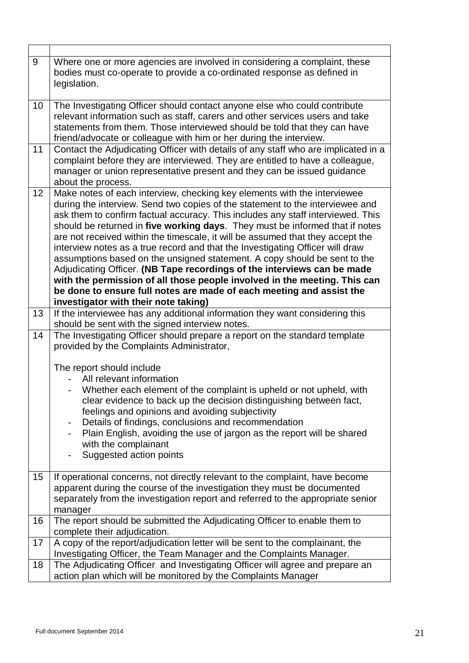| Where one or more agencies are involved in considering a complaint, these<br>bodies must co-operate to provide a co-ordinated response as defined in<br>legislation.                                                                                                                                                                                                                                                                                                                                                                                                                                                                                                                                                                                                                                                                                 |
|------------------------------------------------------------------------------------------------------------------------------------------------------------------------------------------------------------------------------------------------------------------------------------------------------------------------------------------------------------------------------------------------------------------------------------------------------------------------------------------------------------------------------------------------------------------------------------------------------------------------------------------------------------------------------------------------------------------------------------------------------------------------------------------------------------------------------------------------------|
| The Investigating Officer should contact anyone else who could contribute<br>relevant information such as staff, carers and other services users and take<br>statements from them. Those interviewed should be told that they can have<br>friend/advocate or colleague with him or her during the interview.                                                                                                                                                                                                                                                                                                                                                                                                                                                                                                                                         |
| Contact the Adjudicating Officer with details of any staff who are implicated in a<br>complaint before they are interviewed. They are entitled to have a colleague,<br>manager or union representative present and they can be issued guidance<br>about the process.                                                                                                                                                                                                                                                                                                                                                                                                                                                                                                                                                                                 |
| Make notes of each interview, checking key elements with the interviewee<br>during the interview. Send two copies of the statement to the interviewee and<br>ask them to confirm factual accuracy. This includes any staff interviewed. This<br>should be returned in five working days. They must be informed that if notes<br>are not received within the timescale, it will be assumed that they accept the<br>interview notes as a true record and that the Investigating Officer will draw<br>assumptions based on the unsigned statement. A copy should be sent to the<br>Adjudicating Officer. (NB Tape recordings of the interviews can be made<br>with the permission of all those people involved in the meeting. This can<br>be done to ensure full notes are made of each meeting and assist the<br>investigator with their note taking) |
| If the interviewee has any additional information they want considering this<br>should be sent with the signed interview notes.                                                                                                                                                                                                                                                                                                                                                                                                                                                                                                                                                                                                                                                                                                                      |
| The Investigating Officer should prepare a report on the standard template<br>provided by the Complaints Administrator,                                                                                                                                                                                                                                                                                                                                                                                                                                                                                                                                                                                                                                                                                                                              |
| The report should include<br>All relevant information<br>Whether each element of the complaint is upheld or not upheld, with<br>clear evidence to back up the decision distinguishing between fact,<br>feelings and opinions and avoiding subjectivity<br>Details of findings, conclusions and recommendation<br>$\overline{\phantom{0}}$<br>Plain English, avoiding the use of jargon as the report will be shared<br>with the complainant<br>Suggested action points                                                                                                                                                                                                                                                                                                                                                                               |
| If operational concerns, not directly relevant to the complaint, have become<br>apparent during the course of the investigation they must be documented<br>separately from the investigation report and referred to the appropriate senior<br>manager                                                                                                                                                                                                                                                                                                                                                                                                                                                                                                                                                                                                |
| The report should be submitted the Adjudicating Officer to enable them to<br>complete their adjudication.                                                                                                                                                                                                                                                                                                                                                                                                                                                                                                                                                                                                                                                                                                                                            |
| A copy of the report/adjudication letter will be sent to the complainant, the<br>Investigating Officer, the Team Manager and the Complaints Manager.                                                                                                                                                                                                                                                                                                                                                                                                                                                                                                                                                                                                                                                                                                 |
| The Adjudicating Officer and Investigating Officer will agree and prepare an<br>action plan which will be monitored by the Complaints Manager                                                                                                                                                                                                                                                                                                                                                                                                                                                                                                                                                                                                                                                                                                        |
|                                                                                                                                                                                                                                                                                                                                                                                                                                                                                                                                                                                                                                                                                                                                                                                                                                                      |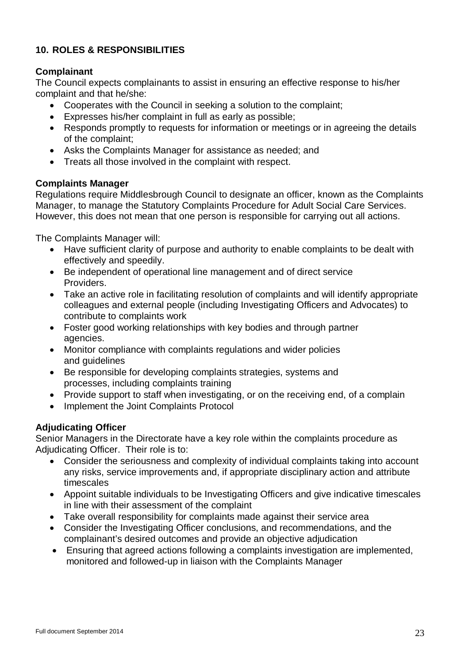# **10. ROLES & RESPONSIBILITIES**

# **Complainant**

The Council expects complainants to assist in ensuring an effective response to his/her complaint and that he/she:

- Cooperates with the Council in seeking a solution to the complaint;
- Expresses his/her complaint in full as early as possible;
- Responds promptly to requests for information or meetings or in agreeing the details of the complaint;
- Asks the Complaints Manager for assistance as needed; and
- Treats all those involved in the complaint with respect.

## **Complaints Manager**

Regulations require Middlesbrough Council to designate an officer, known as the Complaints Manager, to manage the Statutory Complaints Procedure for Adult Social Care Services. However, this does not mean that one person is responsible for carrying out all actions.

The Complaints Manager will:

- Have sufficient clarity of purpose and authority to enable complaints to be dealt with effectively and speedily.
- Be independent of operational line management and of direct service **Providers**
- Take an active role in facilitating resolution of complaints and will identify appropriate colleagues and external people (including Investigating Officers and Advocates) to contribute to complaints work
- Foster good working relationships with key bodies and through partner agencies.
- Monitor compliance with complaints regulations and wider policies and guidelines
- Be responsible for developing complaints strategies, systems and processes, including complaints training
- Provide support to staff when investigating, or on the receiving end, of a complain
- Implement the Joint Complaints Protocol

# **Adjudicating Officer**

Senior Managers in the Directorate have a key role within the complaints procedure as Adjudicating Officer. Their role is to:

- Consider the seriousness and complexity of individual complaints taking into account any risks, service improvements and, if appropriate disciplinary action and attribute timescales
- Appoint suitable individuals to be Investigating Officers and give indicative timescales in line with their assessment of the complaint
- Take overall responsibility for complaints made against their service area
- Consider the Investigating Officer conclusions, and recommendations, and the complainant's desired outcomes and provide an objective adjudication
- Ensuring that agreed actions following a complaints investigation are implemented, monitored and followed-up in liaison with the Complaints Manager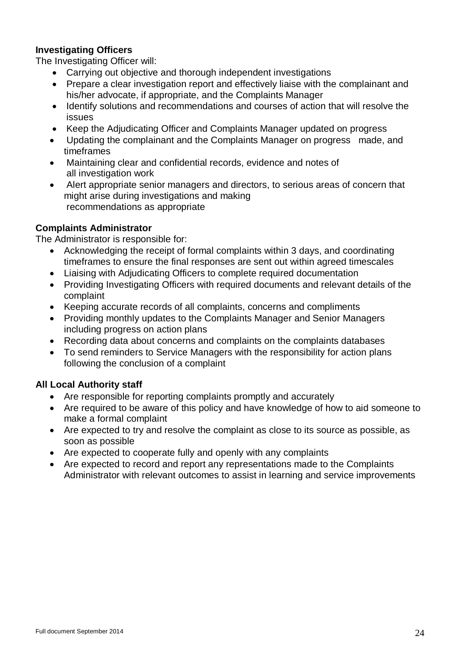# **Investigating Officers**

The Investigating Officer will:

- Carrying out objective and thorough independent investigations
- Prepare a clear investigation report and effectively liaise with the complainant and his/her advocate, if appropriate, and the Complaints Manager
- Identify solutions and recommendations and courses of action that will resolve the issues
- Keep the Adjudicating Officer and Complaints Manager updated on progress
- Updating the complainant and the Complaints Manager on progress made, and timeframes
- Maintaining clear and confidential records, evidence and notes of all investigation work
- Alert appropriate senior managers and directors, to serious areas of concern that might arise during investigations and making recommendations as appropriate

## **Complaints Administrator**

The Administrator is responsible for:

- Acknowledging the receipt of formal complaints within 3 days, and coordinating timeframes to ensure the final responses are sent out within agreed timescales
- Liaising with Adjudicating Officers to complete required documentation
- Providing Investigating Officers with required documents and relevant details of the complaint
- Keeping accurate records of all complaints, concerns and compliments
- Providing monthly updates to the Complaints Manager and Senior Managers including progress on action plans
- Recording data about concerns and complaints on the complaints databases
- To send reminders to Service Managers with the responsibility for action plans following the conclusion of a complaint

#### **All Local Authority staff**

- Are responsible for reporting complaints promptly and accurately
- Are required to be aware of this policy and have knowledge of how to aid someone to make a formal complaint
- Are expected to try and resolve the complaint as close to its source as possible, as soon as possible
- Are expected to cooperate fully and openly with any complaints
- Are expected to record and report any representations made to the Complaints Administrator with relevant outcomes to assist in learning and service improvements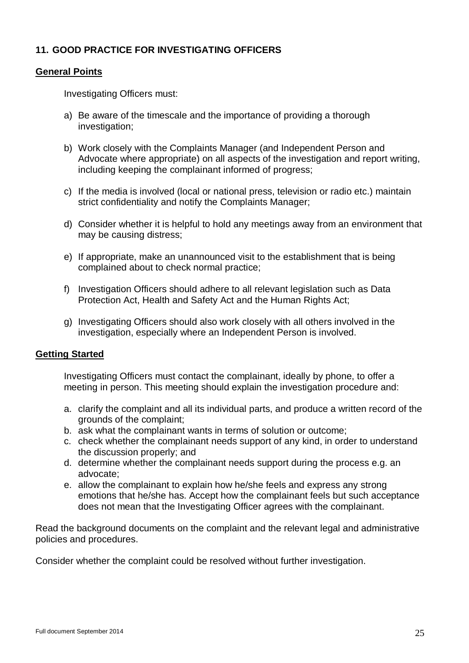# **11. GOOD PRACTICE FOR INVESTIGATING OFFICERS**

#### **General Points**

Investigating Officers must:

- a) Be aware of the timescale and the importance of providing a thorough investigation;
- b) Work closely with the Complaints Manager (and Independent Person and Advocate where appropriate) on all aspects of the investigation and report writing, including keeping the complainant informed of progress;
- c) If the media is involved (local or national press, television or radio etc.) maintain strict confidentiality and notify the Complaints Manager;
- d) Consider whether it is helpful to hold any meetings away from an environment that may be causing distress;
- e) If appropriate, make an unannounced visit to the establishment that is being complained about to check normal practice;
- f) Investigation Officers should adhere to all relevant legislation such as Data Protection Act, Health and Safety Act and the Human Rights Act;
- g) Investigating Officers should also work closely with all others involved in the investigation, especially where an Independent Person is involved.

#### **Getting Started**

Investigating Officers must contact the complainant, ideally by phone, to offer a meeting in person. This meeting should explain the investigation procedure and:

- a. clarify the complaint and all its individual parts, and produce a written record of the grounds of the complaint;
- b. ask what the complainant wants in terms of solution or outcome;
- c. check whether the complainant needs support of any kind, in order to understand the discussion properly; and
- d. determine whether the complainant needs support during the process e.g. an advocate;
- e. allow the complainant to explain how he/she feels and express any strong emotions that he/she has. Accept how the complainant feels but such acceptance does not mean that the Investigating Officer agrees with the complainant.

Read the background documents on the complaint and the relevant legal and administrative policies and procedures.

Consider whether the complaint could be resolved without further investigation.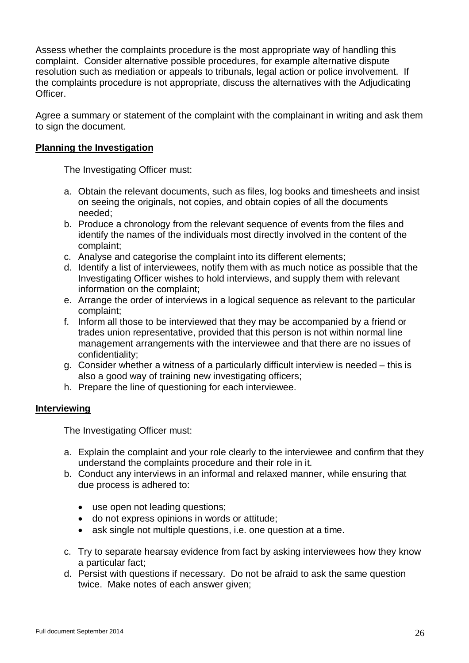Assess whether the complaints procedure is the most appropriate way of handling this complaint. Consider alternative possible procedures, for example alternative dispute resolution such as mediation or appeals to tribunals, legal action or police involvement. If the complaints procedure is not appropriate, discuss the alternatives with the Adjudicating Officer.

Agree a summary or statement of the complaint with the complainant in writing and ask them to sign the document.

## **Planning the Investigation**

The Investigating Officer must:

- a. Obtain the relevant documents, such as files, log books and timesheets and insist on seeing the originals, not copies, and obtain copies of all the documents needed;
- b. Produce a chronology from the relevant sequence of events from the files and identify the names of the individuals most directly involved in the content of the complaint;
- c. Analyse and categorise the complaint into its different elements;
- d. Identify a list of interviewees, notify them with as much notice as possible that the Investigating Officer wishes to hold interviews, and supply them with relevant information on the complaint;
- e. Arrange the order of interviews in a logical sequence as relevant to the particular complaint;
- f. Inform all those to be interviewed that they may be accompanied by a friend or trades union representative, provided that this person is not within normal line management arrangements with the interviewee and that there are no issues of confidentiality;
- g. Consider whether a witness of a particularly difficult interview is needed this is also a good way of training new investigating officers;
- h. Prepare the line of questioning for each interviewee.

#### **Interviewing**

The Investigating Officer must:

- a. Explain the complaint and your role clearly to the interviewee and confirm that they understand the complaints procedure and their role in it.
- b. Conduct any interviews in an informal and relaxed manner, while ensuring that due process is adhered to:
	- use open not leading questions:
	- do not express opinions in words or attitude;
	- ask single not multiple questions, i.e. one question at a time.
- c. Try to separate hearsay evidence from fact by asking interviewees how they know a particular fact;
- d. Persist with questions if necessary. Do not be afraid to ask the same question twice. Make notes of each answer given;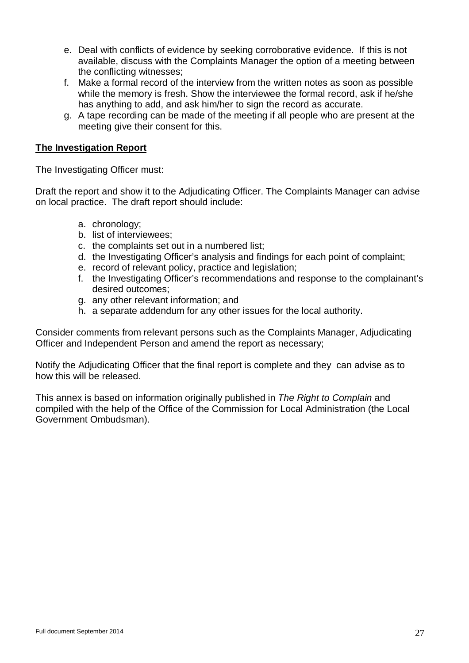- e. Deal with conflicts of evidence by seeking corroborative evidence. If this is not available, discuss with the Complaints Manager the option of a meeting between the conflicting witnesses;
- f. Make a formal record of the interview from the written notes as soon as possible while the memory is fresh. Show the interviewee the formal record, ask if he/she has anything to add, and ask him/her to sign the record as accurate.
- g. A tape recording can be made of the meeting if all people who are present at the meeting give their consent for this.

## **The Investigation Report**

The Investigating Officer must:

Draft the report and show it to the Adjudicating Officer. The Complaints Manager can advise on local practice. The draft report should include:

- a. chronology;
- b. list of interviewees;
- c. the complaints set out in a numbered list;
- d. the Investigating Officer's analysis and findings for each point of complaint;
- e. record of relevant policy, practice and legislation;
- f. the Investigating Officer's recommendations and response to the complainant's desired outcomes;
- g. any other relevant information; and
- h. a separate addendum for any other issues for the local authority.

Consider comments from relevant persons such as the Complaints Manager, Adjudicating Officer and Independent Person and amend the report as necessary;

Notify the Adjudicating Officer that the final report is complete and they can advise as to how this will be released.

This annex is based on information originally published in *The Right to Complain* and compiled with the help of the Office of the Commission for Local Administration (the Local Government Ombudsman).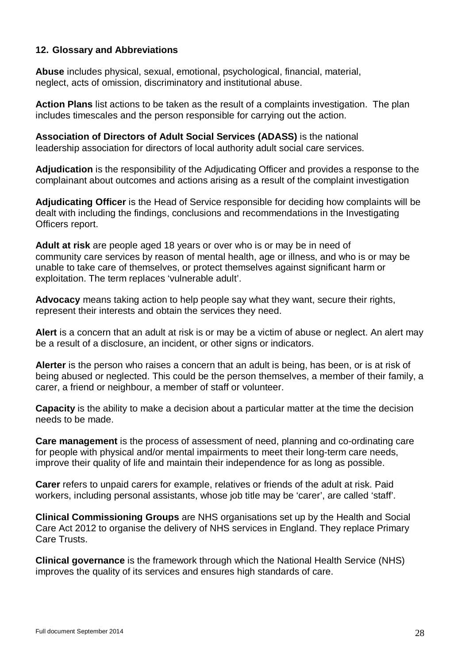## **12. Glossary and Abbreviations**

**Abuse** includes physical, sexual, emotional, psychological, financial, material, neglect, acts of omission, discriminatory and institutional abuse.

**Action Plans** list actions to be taken as the result of a complaints investigation. The plan includes timescales and the person responsible for carrying out the action.

**Association of Directors of Adult Social Services (ADASS)** is the national leadership association for directors of local authority adult social care services.

**Adjudication** is the responsibility of the Adjudicating Officer and provides a response to the complainant about outcomes and actions arising as a result of the complaint investigation

**Adjudicating Officer** is the Head of Service responsible for deciding how complaints will be dealt with including the findings, conclusions and recommendations in the Investigating Officers report.

**Adult at risk** are people aged 18 years or over who is or may be in need of community care services by reason of mental health, age or illness, and who is or may be unable to take care of themselves, or protect themselves against significant harm or exploitation. The term replaces 'vulnerable adult'.

**Advocacy** means taking action to help people say what they want, secure their rights, represent their interests and obtain the services they need.

**Alert** is a concern that an adult at risk is or may be a victim of abuse or neglect. An alert may be a result of a disclosure, an incident, or other signs or indicators.

**Alerter** is the person who raises a concern that an adult is being, has been, or is at risk of being abused or neglected. This could be the person themselves, a member of their family, a carer, a friend or neighbour, a member of staff or volunteer.

**Capacity** is the ability to make a decision about a particular matter at the time the decision needs to be made.

**Care management** is the process of assessment of need, planning and co-ordinating care for people with physical and/or mental impairments to meet their long-term care needs, improve their quality of life and maintain their independence for as long as possible.

**Carer** refers to unpaid carers for example, relatives or friends of the adult at risk. Paid workers, including personal assistants, whose job title may be 'carer', are called 'staff'.

**Clinical Commissioning Groups** are NHS organisations set up by the Health and Social Care Act 2012 to organise the delivery of NHS services in England. They replace Primary Care Trusts.

**Clinical governance** is the framework through which the National Health Service (NHS) improves the quality of its services and ensures high standards of care.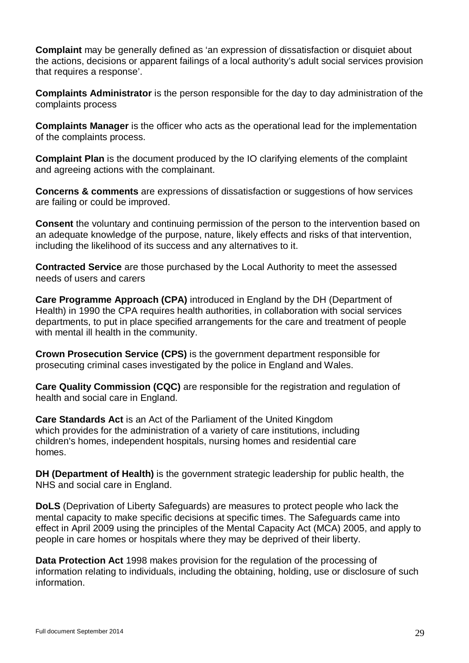**Complaint** may be generally defined as 'an expression of dissatisfaction or disquiet about the actions, decisions or apparent failings of a local authority's adult social services provision that requires a response'.

**Complaints Administrator** is the person responsible for the day to day administration of the complaints process

**Complaints Manager** is the officer who acts as the operational lead for the implementation of the complaints process.

**Complaint Plan** is the document produced by the IO clarifying elements of the complaint and agreeing actions with the complainant.

**Concerns & comments** are expressions of dissatisfaction or suggestions of how services are failing or could be improved.

**Consent** the voluntary and continuing permission of the person to the intervention based on an adequate knowledge of the purpose, nature, likely effects and risks of that intervention, including the likelihood of its success and any alternatives to it.

**Contracted Service** are those purchased by the Local Authority to meet the assessed needs of users and carers

**Care Programme Approach (CPA)** introduced in England by the DH (Department of Health) in 1990 the CPA requires health authorities, in collaboration with social services departments, to put in place specified arrangements for the care and treatment of people with mental ill health in the community.

**Crown Prosecution Service (CPS)** is the government department responsible for prosecuting criminal cases investigated by the police in England and Wales.

**Care Quality Commission (CQC)** are responsible for the registration and regulation of health and social care in England.

**Care Standards Act** is an Act of the Parliament of the United Kingdom which provides for the administration of a variety of care institutions, including children's homes, independent hospitals, nursing homes and residential care homes.

**DH (Department of Health)** is the government strategic leadership for public health, the NHS and social care in England.

**DoLS** (Deprivation of Liberty Safeguards) are measures to protect people who lack the mental capacity to make specific decisions at specific times. The Safeguards came into effect in April 2009 using the principles of the Mental Capacity Act (MCA) 2005, and apply to people in care homes or hospitals where they may be deprived of their liberty.

**Data Protection Act** 1998 makes provision for the regulation of the processing of information relating to individuals, including the obtaining, holding, use or disclosure of such information.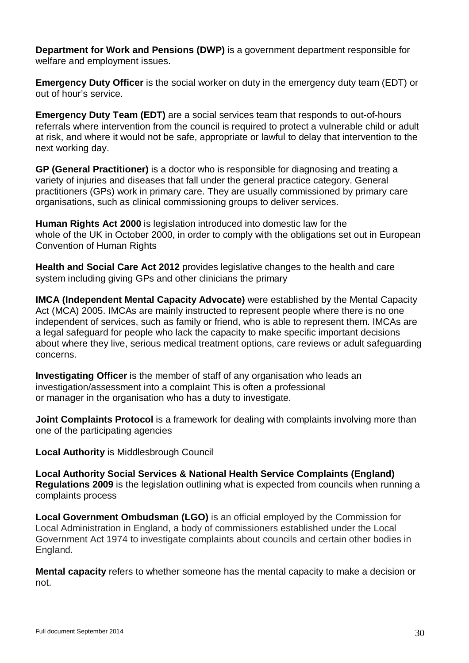**Department for Work and Pensions (DWP)** is a government department responsible for welfare and employment issues.

**Emergency Duty Officer** is the social worker on duty in the emergency duty team (EDT) or out of hour's service.

**Emergency Duty Team (EDT)** are a social services team that responds to out-of-hours referrals where intervention from the council is required to protect a vulnerable child or adult at risk, and where it would not be safe, appropriate or lawful to delay that intervention to the next working day.

**GP (General Practitioner)** is a doctor who is responsible for diagnosing and treating a variety of injuries and diseases that fall under the general practice category. General practitioners (GPs) work in primary care. They are usually commissioned by primary care organisations, such as clinical commissioning groups to deliver services.

**Human Rights Act 2000** is legislation introduced into domestic law for the whole of the UK in October 2000, in order to comply with the obligations set out in European Convention of Human Rights

**Health and Social Care Act 2012** provides legislative changes to the health and care system including giving GPs and other clinicians the primary

**IMCA (Independent Mental Capacity Advocate)** were established by the Mental Capacity Act (MCA) 2005. IMCAs are mainly instructed to represent people where there is no one independent of services, such as family or friend, who is able to represent them. IMCAs are a legal safeguard for people who lack the capacity to make specific important decisions about where they live, serious medical treatment options, care reviews or adult safeguarding concerns.

**Investigating Officer** is the member of staff of any organisation who leads an investigation/assessment into a complaint This is often a professional or manager in the organisation who has a duty to investigate.

**Joint Complaints Protocol** is a framework for dealing with complaints involving more than one of the participating agencies

**Local Authority** is Middlesbrough Council

**Local Authority Social Services & National Health Service Complaints (England) Regulations 2009** is the legislation outlining what is expected from councils when running a complaints process

**Local Government Ombudsman (LGO)** is an official employed by the Commission for Local Administration in England, a body of commissioners established under the Local Government Act 1974 to investigate complaints about councils and certain other bodies in England.

**Mental capacity** refers to whether someone has the mental capacity to make a decision or not.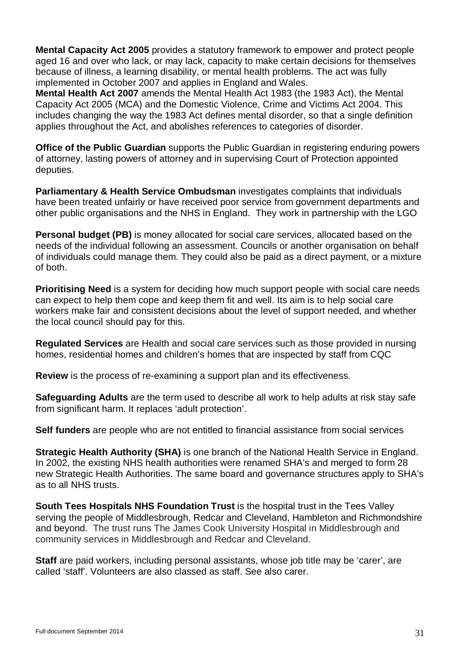**Mental Capacity Act 2005** provides a statutory framework to empower and protect people aged 16 and over who lack, or may lack, capacity to make certain decisions for themselves because of illness, a learning disability, or mental health problems. The act was fully implemented in October 2007 and applies in England and Wales.

**Mental Health Act 2007** amends the Mental Health Act 1983 (the 1983 Act), the Mental Capacity Act 2005 (MCA) and the Domestic Violence, Crime and Victims Act 2004. This includes changing the way the 1983 Act defines mental disorder, so that a single definition applies throughout the Act, and abolishes references to categories of disorder.

**Office of the Public Guardian** supports the Public Guardian in registering enduring powers of attorney, lasting powers of attorney and in supervising Court of Protection appointed deputies.

**Parliamentary & Health Service Ombudsman** investigates complaints that individuals have been treated unfairly or have received poor service from government departments and other public organisations and the NHS in England. They work in partnership with the LGO

**Personal budget (PB)** is money allocated for social care services, allocated based on the needs of the individual following an assessment. Councils or another organisation on behalf of individuals could manage them. They could also be paid as a direct payment, or a mixture of both.

**Prioritising Need** is a system for deciding how much support people with social care needs can expect to help them cope and keep them fit and well. Its aim is to help social care workers make fair and consistent decisions about the level of support needed, and whether the local council should pay for this.

**Regulated Services** are Health and social care services such as those provided in nursing homes, residential homes and children's homes that are inspected by staff from CQC

**Review** is the process of re-examining a support plan and its effectiveness.

**Safeguarding Adults** are the term used to describe all work to help adults at risk stay safe from significant harm. It replaces 'adult protection'.

**Self funders** are people who are not entitled to financial assistance from social services

**Strategic Health Authority (SHA)** is one branch of the National Health Service in England. In 2002, the existing NHS health authorities were renamed SHA's and merged to form 28 new Strategic Health Authorities. The same board and governance structures apply to SHA's as to all NHS trusts.

**South Tees Hospitals NHS Foundation Trust** is the hospital trust in the Tees Valley serving the people of Middlesbrough, Redcar and Cleveland, Hambleton and Richmondshire and beyond. The trust runs The James Cook University Hospital in Middlesbrough and community services in Middlesbrough and Redcar and Cleveland.

**Staff** are paid workers, including personal assistants, whose job title may be 'carer', are called 'staff'. Volunteers are also classed as staff. See also carer.